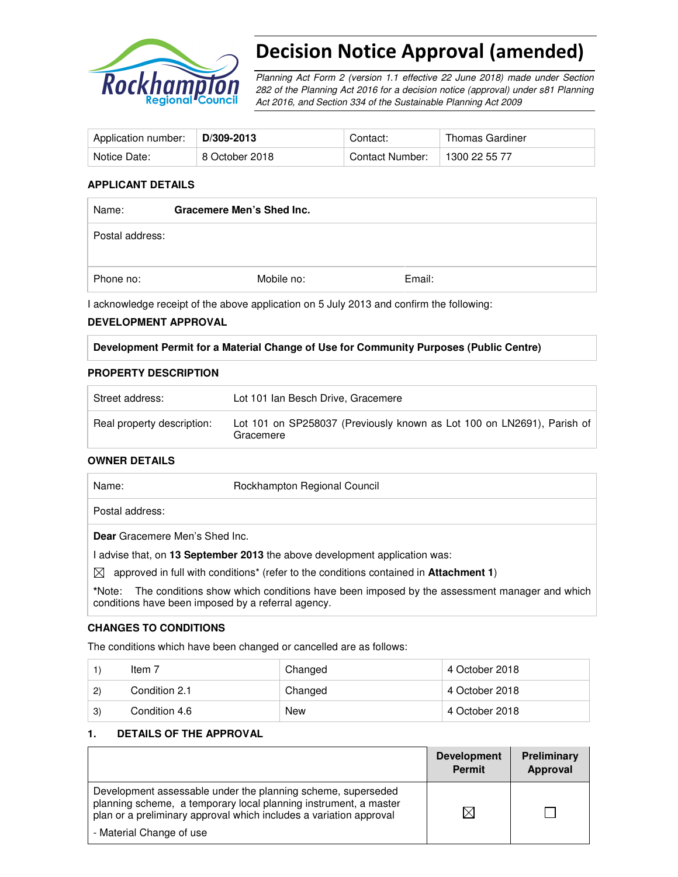

# Decision Notice Approval (amended)

Planning Act Form 2 (version 1.1 effective 22 June 2018) made under Section 282 of the Planning Act 2016 for a decision notice (approval) under s81 Planning Act 2016, and Section 334 of the Sustainable Planning Act 2009

| Application number: | D/309-2013     | Contact:        | Thomas Gardiner |
|---------------------|----------------|-----------------|-----------------|
| Notice Date:        | 8 October 2018 | Contact Number: | 1300 22 55 77   |

#### **APPLICANT DETAILS**

| Name:           | Gracemere Men's Shed Inc. |        |  |
|-----------------|---------------------------|--------|--|
| Postal address: |                           |        |  |
| Phone no:       | Mobile no:                | Email: |  |

I acknowledge receipt of the above application on 5 July 2013 and confirm the following:

# **DEVELOPMENT APPROVAL**

|  |  |  | Development Permit for a Material Change of Use for Community Purposes (Public Centre) |
|--|--|--|----------------------------------------------------------------------------------------|
|  |  |  |                                                                                        |

#### **PROPERTY DESCRIPTION**

| Street address:            | Lot 101 Ian Besch Drive, Gracemere                                                  |
|----------------------------|-------------------------------------------------------------------------------------|
| Real property description: | Lot 101 on SP258037 (Previously known as Lot 100 on LN2691), Parish of<br>Gracemere |

#### **OWNER DETAILS**

| Name:                                                        | Rockhampton Regional Council                                                                              |
|--------------------------------------------------------------|-----------------------------------------------------------------------------------------------------------|
| Postal address:                                              |                                                                                                           |
| Dear Gracemere Men's Shed Inc.                               |                                                                                                           |
|                                                              | advise that, on 13 September 2013 the above development application was:                                  |
| M                                                            | approved in full with conditions <sup>*</sup> (refer to the conditions contained in <b>Attachment 1</b> ) |
| *Note:<br>conditions have been imposed by a referral agency. | The conditions show which conditions have been imposed by the assessment manager and which                |

#### **CHANGES TO CONDITIONS**

The conditions which have been changed or cancelled are as follows:

|              | Item 7        | Changed | 4 October 2018 |
|--------------|---------------|---------|----------------|
| $\mathbf{2}$ | Condition 2.1 | Changed | 4 October 2018 |
| 3)           | Condition 4.6 | New     | 4 October 2018 |

#### **1. DETAILS OF THE APPROVAL**

|                                                                                                                                                                                                                                    | <b>Development</b><br><b>Permit</b> | Preliminary<br>Approval |
|------------------------------------------------------------------------------------------------------------------------------------------------------------------------------------------------------------------------------------|-------------------------------------|-------------------------|
| Development assessable under the planning scheme, superseded<br>planning scheme, a temporary local planning instrument, a master<br>plan or a preliminary approval which includes a variation approval<br>- Material Change of use | ⋉                                   |                         |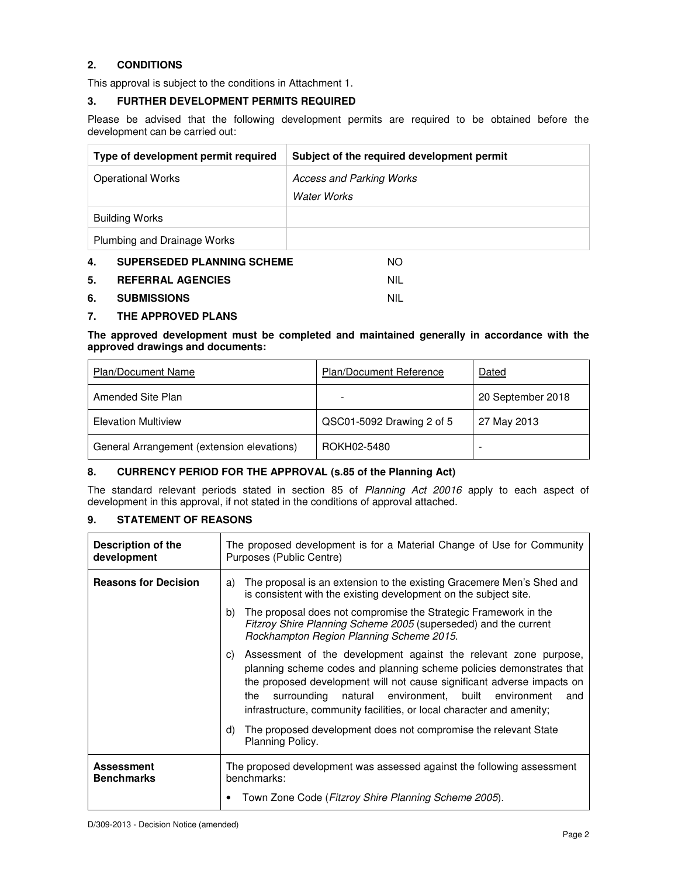# **2. CONDITIONS**

This approval is subject to the conditions in Attachment 1.

#### **3. FURTHER DEVELOPMENT PERMITS REQUIRED**

Please be advised that the following development permits are required to be obtained before the development can be carried out:

| Type of development permit required     | Subject of the required development permit |
|-----------------------------------------|--------------------------------------------|
| <b>Operational Works</b>                | Access and Parking Works                   |
|                                         | Water Works                                |
| <b>Building Works</b>                   |                                            |
| Plumbing and Drainage Works             |                                            |
| 4.<br><b>SUPERSEDED PLANNING SCHEME</b> | NO.                                        |
| 5.<br><b>REFERRAL AGENCIES</b>          | <b>NIL</b>                                 |

#### **6. SUBMISSIONS** NIL

## **7. THE APPROVED PLANS**

#### **The approved development must be completed and maintained generally in accordance with the approved drawings and documents:**

| <b>Plan/Document Name</b>                  | <b>Plan/Document Reference</b> | Dated             |
|--------------------------------------------|--------------------------------|-------------------|
| Amended Site Plan                          |                                | 20 September 2018 |
| <b>Elevation Multiview</b>                 | QSC01-5092 Drawing 2 of 5      | 27 May 2013       |
| General Arrangement (extension elevations) | ROKH02-5480                    | -                 |

#### **8. CURRENCY PERIOD FOR THE APPROVAL (s.85 of the Planning Act)**

The standard relevant periods stated in section 85 of Planning Act 20016 apply to each aspect of development in this approval, if not stated in the conditions of approval attached.

#### **9. STATEMENT OF REASONS**

| Description of the<br>development      | The proposed development is for a Material Change of Use for Community<br>Purposes (Public Centre)                                                                                                                                                                                                                                                                                                                                                                    |  |
|----------------------------------------|-----------------------------------------------------------------------------------------------------------------------------------------------------------------------------------------------------------------------------------------------------------------------------------------------------------------------------------------------------------------------------------------------------------------------------------------------------------------------|--|
| <b>Reasons for Decision</b>            | The proposal is an extension to the existing Gracemere Men's Shed and<br>a)<br>is consistent with the existing development on the subject site.                                                                                                                                                                                                                                                                                                                       |  |
|                                        | The proposal does not compromise the Strategic Framework in the<br>b)<br>Fitzroy Shire Planning Scheme 2005 (superseded) and the current<br>Rockhampton Region Planning Scheme 2015.                                                                                                                                                                                                                                                                                  |  |
|                                        | Assessment of the development against the relevant zone purpose,<br>C)<br>planning scheme codes and planning scheme policies demonstrates that<br>the proposed development will not cause significant adverse impacts on<br>natural environment, built environment<br>the<br>surrounding<br>and<br>infrastructure, community facilities, or local character and amenity;<br>The proposed development does not compromise the relevant State<br>d)<br>Planning Policy. |  |
| <b>Assessment</b><br><b>Benchmarks</b> | The proposed development was assessed against the following assessment<br>benchmarks:<br>Town Zone Code (Fitzroy Shire Planning Scheme 2005).                                                                                                                                                                                                                                                                                                                         |  |
|                                        |                                                                                                                                                                                                                                                                                                                                                                                                                                                                       |  |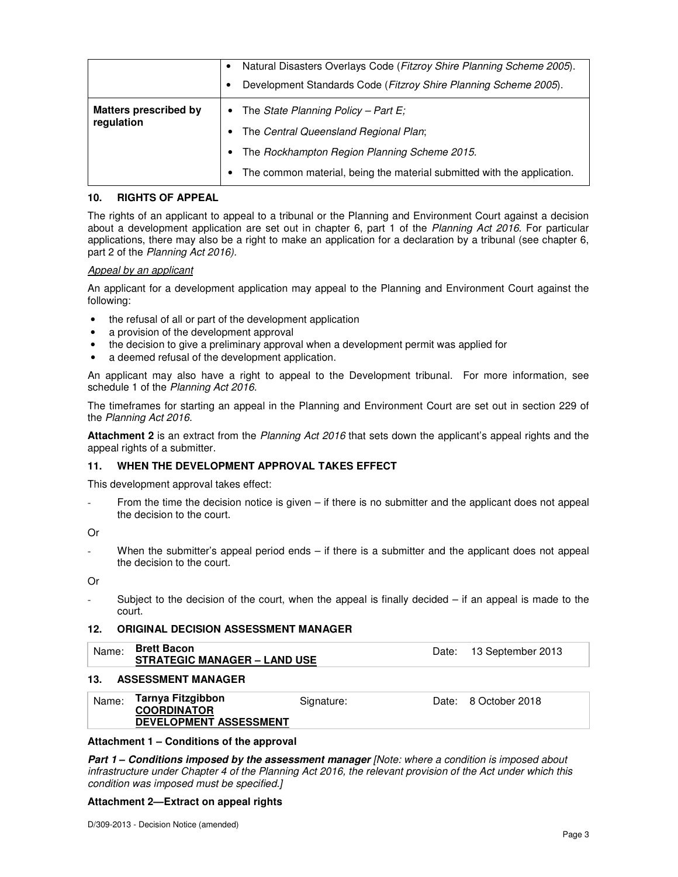|                                            | Natural Disasters Overlays Code (Fitzroy Shire Planning Scheme 2005).<br>Development Standards Code (Fitzroy Shire Planning Scheme 2005).                                                                                     |
|--------------------------------------------|-------------------------------------------------------------------------------------------------------------------------------------------------------------------------------------------------------------------------------|
| <b>Matters prescribed by</b><br>regulation | • The State Planning Policy - Part E;<br>• The Central Queensland Regional Plan;<br>The Rockhampton Region Planning Scheme 2015.<br>$\bullet$<br>The common material, being the material submitted with the application.<br>٠ |

#### **10. RIGHTS OF APPEAL**

The rights of an applicant to appeal to a tribunal or the Planning and Environment Court against a decision about a development application are set out in chapter 6, part 1 of the Planning Act 2016. For particular applications, there may also be a right to make an application for a declaration by a tribunal (see chapter 6, part 2 of the Planning Act 2016).

#### Appeal by an applicant

An applicant for a development application may appeal to the Planning and Environment Court against the following:

- the refusal of all or part of the development application
- a provision of the development approval
- the decision to give a preliminary approval when a development permit was applied for
- a deemed refusal of the development application.

An applicant may also have a right to appeal to the Development tribunal. For more information, see schedule 1 of the Planning Act 2016.

The timeframes for starting an appeal in the Planning and Environment Court are set out in section 229 of the Planning Act 2016.

**Attachment 2** is an extract from the Planning Act 2016 that sets down the applicant's appeal rights and the appeal rights of a submitter.

#### **11. WHEN THE DEVELOPMENT APPROVAL TAKES EFFECT**

This development approval takes effect:

From the time the decision notice is given – if there is no submitter and the applicant does not appeal the decision to the court.

Or

When the submitter's appeal period ends – if there is a submitter and the applicant does not appeal the decision to the court.

Or

Subject to the decision of the court, when the appeal is finally decided  $-$  if an appeal is made to the court.

#### **12. ORIGINAL DECISION ASSESSMENT MANAGER**

| Name: | <b>Brett Bacon</b><br><b>STRATEGIC MANAGER - LAND USE</b> | Date: 13 September 2013 |
|-------|-----------------------------------------------------------|-------------------------|
|       |                                                           |                         |

#### **13. ASSESSMENT MANAGER**

| <b>COORDINATOR</b><br><b>DEVELOPMENT ASSESSMENT</b> |
|-----------------------------------------------------|
|-----------------------------------------------------|

#### **Attachment 1 – Conditions of the approval**

**Part 1 – Conditions imposed by the assessment manager** *[Note: where a condition is imposed about* infrastructure under Chapter 4 of the Planning Act 2016, the relevant provision of the Act under which this condition was imposed must be specified.]

#### **Attachment 2—Extract on appeal rights**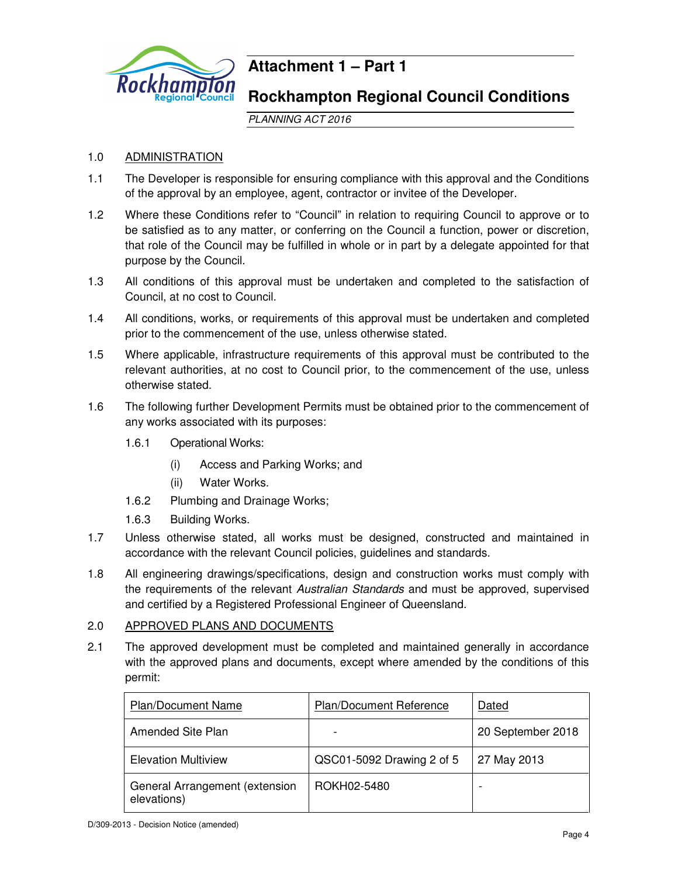

# **Attachment 1 – Part 1**

# **Rockhampton Regional Council Conditions**

PLANNING ACT 2016

# 1.0 ADMINISTRATION

- 1.1 The Developer is responsible for ensuring compliance with this approval and the Conditions of the approval by an employee, agent, contractor or invitee of the Developer.
- 1.2 Where these Conditions refer to "Council" in relation to requiring Council to approve or to be satisfied as to any matter, or conferring on the Council a function, power or discretion, that role of the Council may be fulfilled in whole or in part by a delegate appointed for that purpose by the Council.
- 1.3 All conditions of this approval must be undertaken and completed to the satisfaction of Council, at no cost to Council.
- 1.4 All conditions, works, or requirements of this approval must be undertaken and completed prior to the commencement of the use, unless otherwise stated.
- 1.5 Where applicable, infrastructure requirements of this approval must be contributed to the relevant authorities, at no cost to Council prior, to the commencement of the use, unless otherwise stated.
- 1.6 The following further Development Permits must be obtained prior to the commencement of any works associated with its purposes:
	- 1.6.1 Operational Works:
		- (i) Access and Parking Works; and
		- (ii) Water Works.
	- 1.6.2 Plumbing and Drainage Works;
	- 1.6.3 Building Works.
- 1.7 Unless otherwise stated, all works must be designed, constructed and maintained in accordance with the relevant Council policies, guidelines and standards.
- 1.8 All engineering drawings/specifications, design and construction works must comply with the requirements of the relevant Australian Standards and must be approved, supervised and certified by a Registered Professional Engineer of Queensland.

# 2.0 APPROVED PLANS AND DOCUMENTS

2.1 The approved development must be completed and maintained generally in accordance with the approved plans and documents, except where amended by the conditions of this permit:

| <b>Plan/Document Name</b>                     | <b>Plan/Document Reference</b> | Dated             |
|-----------------------------------------------|--------------------------------|-------------------|
| Amended Site Plan                             |                                | 20 September 2018 |
| <b>Elevation Multiview</b>                    | QSC01-5092 Drawing 2 of 5      | 27 May 2013       |
| General Arrangement (extension<br>elevations) | ROKH02-5480                    |                   |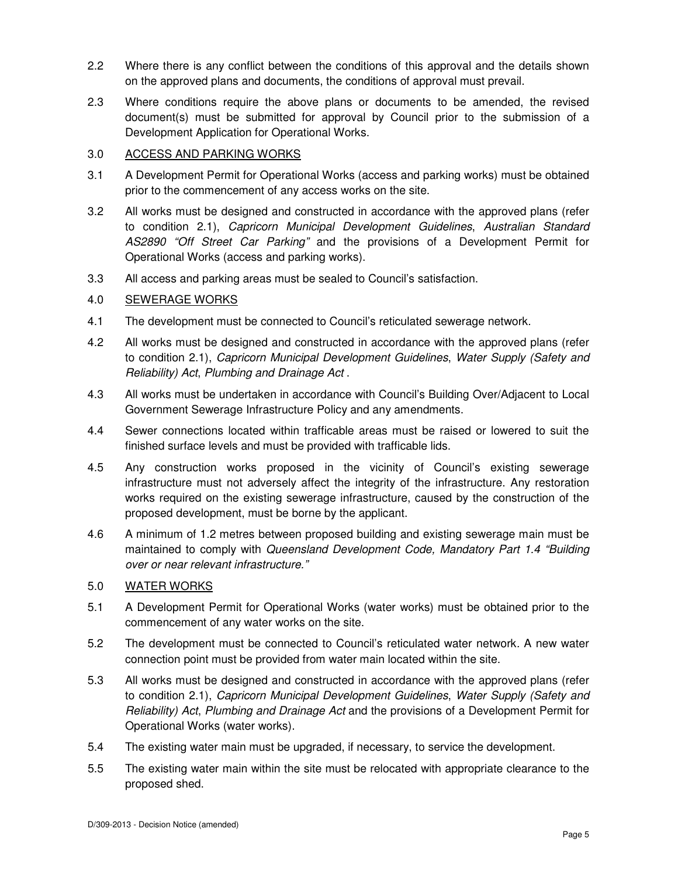- 2.2 Where there is any conflict between the conditions of this approval and the details shown on the approved plans and documents, the conditions of approval must prevail.
- 2.3 Where conditions require the above plans or documents to be amended, the revised document(s) must be submitted for approval by Council prior to the submission of a Development Application for Operational Works.

## 3.0 ACCESS AND PARKING WORKS

- 3.1 A Development Permit for Operational Works (access and parking works) must be obtained prior to the commencement of any access works on the site.
- 3.2 All works must be designed and constructed in accordance with the approved plans (refer to condition 2.1), Capricorn Municipal Development Guidelines, Australian Standard AS2890 "Off Street Car Parking" and the provisions of a Development Permit for Operational Works (access and parking works).
- 3.3 All access and parking areas must be sealed to Council's satisfaction.

## 4.0 SEWERAGE WORKS

- 4.1 The development must be connected to Council's reticulated sewerage network.
- 4.2 All works must be designed and constructed in accordance with the approved plans (refer to condition 2.1), Capricorn Municipal Development Guidelines, Water Supply (Safety and Reliability) Act, Plumbing and Drainage Act .
- 4.3 All works must be undertaken in accordance with Council's Building Over/Adjacent to Local Government Sewerage Infrastructure Policy and any amendments.
- 4.4 Sewer connections located within trafficable areas must be raised or lowered to suit the finished surface levels and must be provided with trafficable lids.
- 4.5 Any construction works proposed in the vicinity of Council's existing sewerage infrastructure must not adversely affect the integrity of the infrastructure. Any restoration works required on the existing sewerage infrastructure, caused by the construction of the proposed development, must be borne by the applicant.
- 4.6 A minimum of 1.2 metres between proposed building and existing sewerage main must be maintained to comply with Queensland Development Code, Mandatory Part 1.4 "Building over or near relevant infrastructure."

# 5.0 WATER WORKS

- 5.1 A Development Permit for Operational Works (water works) must be obtained prior to the commencement of any water works on the site.
- 5.2 The development must be connected to Council's reticulated water network. A new water connection point must be provided from water main located within the site.
- 5.3 All works must be designed and constructed in accordance with the approved plans (refer to condition 2.1), Capricorn Municipal Development Guidelines, Water Supply (Safety and Reliability) Act, Plumbing and Drainage Act and the provisions of a Development Permit for Operational Works (water works).
- 5.4 The existing water main must be upgraded, if necessary, to service the development.
- 5.5 The existing water main within the site must be relocated with appropriate clearance to the proposed shed.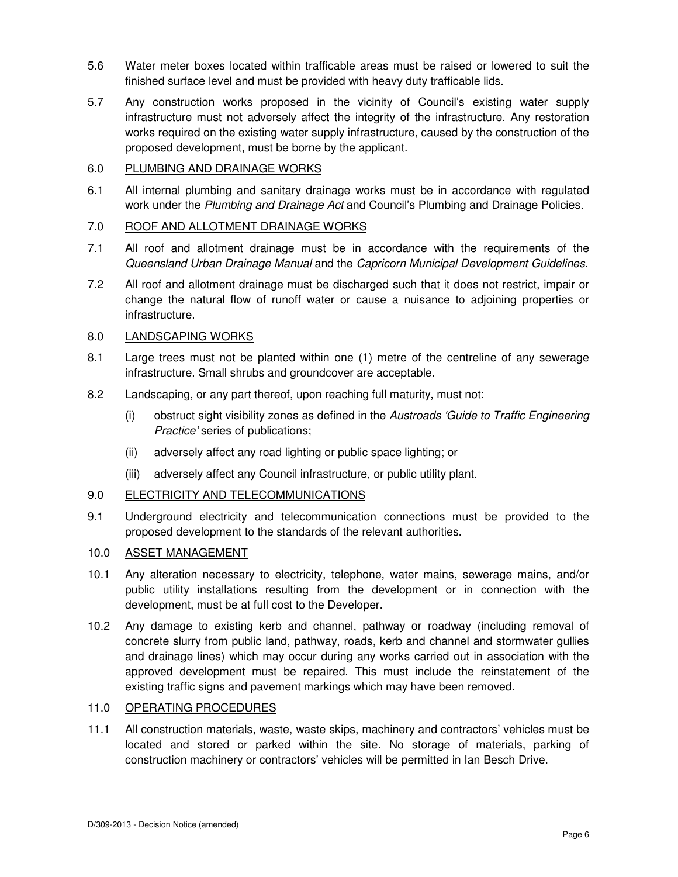- 5.6 Water meter boxes located within trafficable areas must be raised or lowered to suit the finished surface level and must be provided with heavy duty trafficable lids.
- 5.7 Any construction works proposed in the vicinity of Council's existing water supply infrastructure must not adversely affect the integrity of the infrastructure. Any restoration works required on the existing water supply infrastructure, caused by the construction of the proposed development, must be borne by the applicant.

## 6.0 PLUMBING AND DRAINAGE WORKS

6.1 All internal plumbing and sanitary drainage works must be in accordance with regulated work under the Plumbing and Drainage Act and Council's Plumbing and Drainage Policies.

## 7.0 ROOF AND ALLOTMENT DRAINAGE WORKS

- 7.1 All roof and allotment drainage must be in accordance with the requirements of the Queensland Urban Drainage Manual and the Capricorn Municipal Development Guidelines.
- 7.2 All roof and allotment drainage must be discharged such that it does not restrict, impair or change the natural flow of runoff water or cause a nuisance to adjoining properties or infrastructure.

#### 8.0 LANDSCAPING WORKS

- 8.1 Large trees must not be planted within one (1) metre of the centreline of any sewerage infrastructure. Small shrubs and groundcover are acceptable.
- 8.2 Landscaping, or any part thereof, upon reaching full maturity, must not:
	- (i) obstruct sight visibility zones as defined in the Austroads 'Guide to Traffic Engineering Practice' series of publications;
	- (ii) adversely affect any road lighting or public space lighting; or
	- (iii) adversely affect any Council infrastructure, or public utility plant.

#### 9.0 ELECTRICITY AND TELECOMMUNICATIONS

9.1 Underground electricity and telecommunication connections must be provided to the proposed development to the standards of the relevant authorities.

#### 10.0 ASSET MANAGEMENT

- 10.1 Any alteration necessary to electricity, telephone, water mains, sewerage mains, and/or public utility installations resulting from the development or in connection with the development, must be at full cost to the Developer.
- 10.2 Any damage to existing kerb and channel, pathway or roadway (including removal of concrete slurry from public land, pathway, roads, kerb and channel and stormwater gullies and drainage lines) which may occur during any works carried out in association with the approved development must be repaired. This must include the reinstatement of the existing traffic signs and pavement markings which may have been removed.

#### 11.0 OPERATING PROCEDURES

11.1 All construction materials, waste, waste skips, machinery and contractors' vehicles must be located and stored or parked within the site. No storage of materials, parking of construction machinery or contractors' vehicles will be permitted in Ian Besch Drive.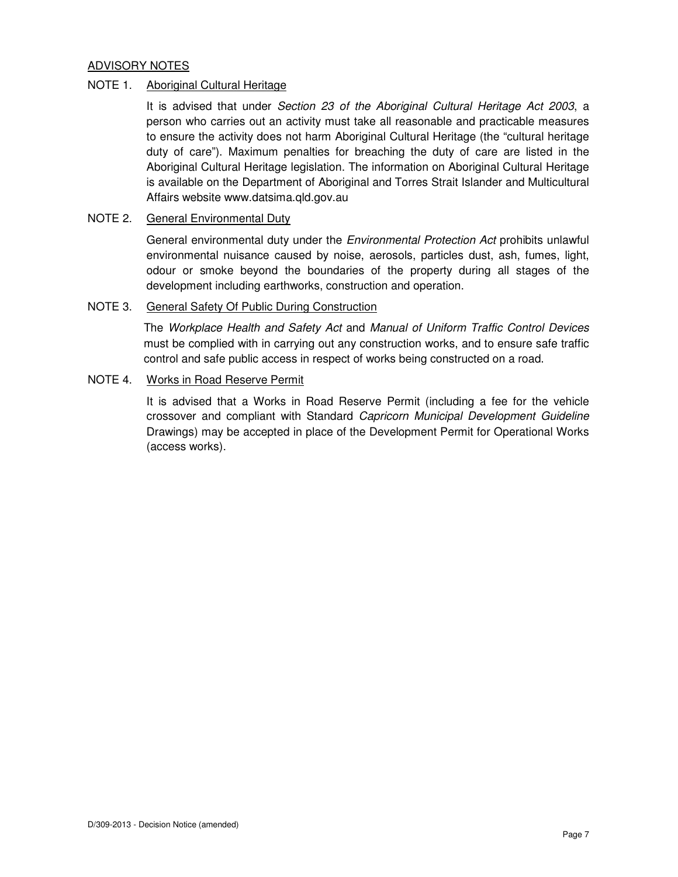# ADVISORY NOTES

## NOTE 1. Aboriginal Cultural Heritage

It is advised that under Section 23 of the Aboriginal Cultural Heritage Act 2003, a person who carries out an activity must take all reasonable and practicable measures to ensure the activity does not harm Aboriginal Cultural Heritage (the "cultural heritage duty of care"). Maximum penalties for breaching the duty of care are listed in the Aboriginal Cultural Heritage legislation. The information on Aboriginal Cultural Heritage is available on the Department of Aboriginal and Torres Strait Islander and Multicultural Affairs website www.datsima.qld.gov.au

#### NOTE 2. General Environmental Duty

General environmental duty under the *Environmental Protection Act* prohibits unlawful environmental nuisance caused by noise, aerosols, particles dust, ash, fumes, light, odour or smoke beyond the boundaries of the property during all stages of the development including earthworks, construction and operation.

## NOTE 3. General Safety Of Public During Construction

The Workplace Health and Safety Act and Manual of Uniform Traffic Control Devices must be complied with in carrying out any construction works, and to ensure safe traffic control and safe public access in respect of works being constructed on a road.

# NOTE 4. Works in Road Reserve Permit

It is advised that a Works in Road Reserve Permit (including a fee for the vehicle crossover and compliant with Standard Capricorn Municipal Development Guideline Drawings) may be accepted in place of the Development Permit for Operational Works (access works).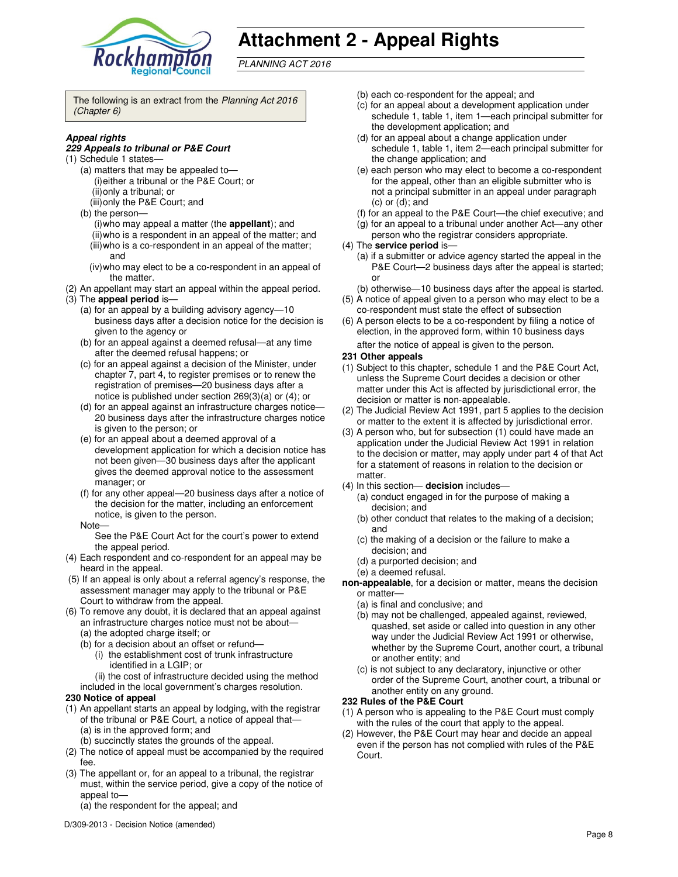

# **Attachment 2 - Appeal Rights**

PLANNING ACT 2016

The following is an extract from the Planning Act 2016 (Chapter 6)

#### **Appeal rights**

#### **229 Appeals to tribunal or P&E Court**

- (1) Schedule 1 states—
	- (a) matters that may be appealed to— (i) either a tribunal or the P&E Court; or (ii) only a tribunal; or
	- (iii) only the P&E Court; and
	- (b) the person—
		- (i) who may appeal a matter (the **appellant**); and (ii) who is a respondent in an appeal of the matter; and
	- (iii) who is a co-respondent in an appeal of the matter; and
	- (iv) who may elect to be a co-respondent in an appeal of the matter.
- (2) An appellant may start an appeal within the appeal period. (3) The **appeal period** is—
	- (a) for an appeal by a building advisory agency—10 business days after a decision notice for the decision is given to the agency or
	- (b) for an appeal against a deemed refusal—at any time after the deemed refusal happens; or
	- (c) for an appeal against a decision of the Minister, under chapter 7, part 4, to register premises or to renew the registration of premises—20 business days after a notice is published under section 269(3)(a) or (4); or
	- (d) for an appeal against an infrastructure charges notice— 20 business days after the infrastructure charges notice is given to the person; or
	- (e) for an appeal about a deemed approval of a development application for which a decision notice has not been given—30 business days after the applicant gives the deemed approval notice to the assessment manager; or
	- (f) for any other appeal—20 business days after a notice of the decision for the matter, including an enforcement notice, is given to the person.
	- Note—

See the P&E Court Act for the court's power to extend the appeal period.

- (4) Each respondent and co-respondent for an appeal may be heard in the appeal.
- (5) If an appeal is only about a referral agency's response, the assessment manager may apply to the tribunal or P&E Court to withdraw from the appeal.
- (6) To remove any doubt, it is declared that an appeal against an infrastructure charges notice must not be about—
	- (a) the adopted charge itself; or
	- (b) for a decision about an offset or refund—
		- (i) the establishment cost of trunk infrastructure identified in a LGIP; or
		- (ii) the cost of infrastructure decided using the method
	- included in the local government's charges resolution.

#### **230 Notice of appeal**

- (1) An appellant starts an appeal by lodging, with the registrar of the tribunal or P&E Court, a notice of appeal that— (a) is in the approved form; and
	- (b) succinctly states the grounds of the appeal.
- (2) The notice of appeal must be accompanied by the required fee.
- (3) The appellant or, for an appeal to a tribunal, the registrar must, within the service period, give a copy of the notice of appeal to-
	- (a) the respondent for the appeal; and
- (b) each co-respondent for the appeal; and
- (c) for an appeal about a development application under schedule 1, table 1, item 1—each principal submitter for the development application; and
- (d) for an appeal about a change application under schedule 1, table 1, item 2—each principal submitter for the change application; and
- (e) each person who may elect to become a co-respondent for the appeal, other than an eligible submitter who is not a principal submitter in an appeal under paragraph  $(c)$  or  $(d)$ ; and
- (f) for an appeal to the P&E Court—the chief executive; and
- (g) for an appeal to a tribunal under another Act—any other person who the registrar considers appropriate.
- (4) The **service period** is—
	- (a) if a submitter or advice agency started the appeal in the P&E Court—2 business days after the appeal is started; or
	- (b) otherwise—10 business days after the appeal is started.
- (5) A notice of appeal given to a person who may elect to be a co-respondent must state the effect of subsection
- (6) A person elects to be a co-respondent by filing a notice of election, in the approved form, within 10 business days after the notice of appeal is given to the person*.*

#### **231 Other appeals**

- (1) Subject to this chapter, schedule 1 and the P&E Court Act, unless the Supreme Court decides a decision or other matter under this Act is affected by jurisdictional error, the decision or matter is non-appealable.
- (2) The Judicial Review Act 1991, part 5 applies to the decision or matter to the extent it is affected by jurisdictional error.
- (3) A person who, but for subsection (1) could have made an application under the Judicial Review Act 1991 in relation to the decision or matter, may apply under part 4 of that Act for a statement of reasons in relation to the decision or matter.
- (4) In this section— **decision** includes—
	- (a) conduct engaged in for the purpose of making a decision; and
	- (b) other conduct that relates to the making of a decision; and
	- (c) the making of a decision or the failure to make a decision; and
	- (d) a purported decision; and
	- (e) a deemed refusal.

**non-appealable**, for a decision or matter, means the decision or matter—

- (a) is final and conclusive; and
- (b) may not be challenged, appealed against, reviewed, quashed, set aside or called into question in any other way under the Judicial Review Act 1991 or otherwise, whether by the Supreme Court, another court, a tribunal or another entity; and
- (c) is not subject to any declaratory, injunctive or other order of the Supreme Court, another court, a tribunal or another entity on any ground.

#### **232 Rules of the P&E Court**

- (1) A person who is appealing to the P&E Court must comply with the rules of the court that apply to the appeal.
- (2) However, the P&E Court may hear and decide an appeal even if the person has not complied with rules of the P&E Court.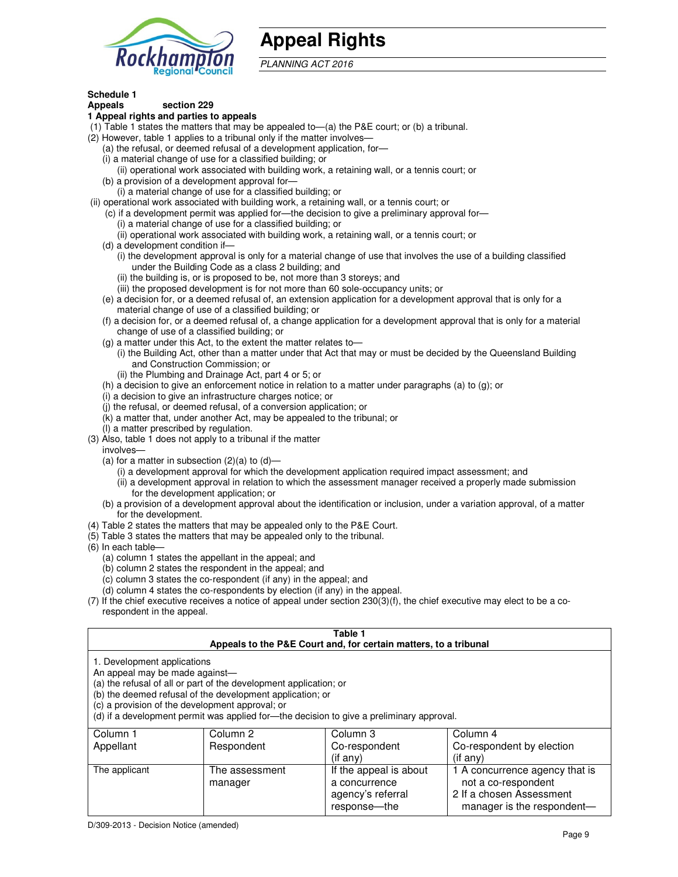

# **Appeal Rights**

PLANNING ACT 2016

# **Schedule 1**

#### **Appeals section 229 1 Appeal rights and parties to appeals**

- (1) Table 1 states the matters that may be appealed to—(a) the P&E court; or (b) a tribunal.
- (2) However, table 1 applies to a tribunal only if the matter involves—
	- (a) the refusal, or deemed refusal of a development application, for—
	- (i) a material change of use for a classified building; or
	- (ii) operational work associated with building work, a retaining wall, or a tennis court; or (b) a provision of a development approval for—
	- (i) a material change of use for a classified building; or
- (ii) operational work associated with building work, a retaining wall, or a tennis court; or
	- (c) if a development permit was applied for—the decision to give a preliminary approval for—
		- (i) a material change of use for a classified building; or
		- (ii) operational work associated with building work, a retaining wall, or a tennis court; or
	- (d) a development condition if—
		- (i) the development approval is only for a material change of use that involves the use of a building classified under the Building Code as a class 2 building; and
		- (ii) the building is, or is proposed to be, not more than 3 storeys; and
		- (iii) the proposed development is for not more than 60 sole-occupancy units; or
	- (e) a decision for, or a deemed refusal of, an extension application for a development approval that is only for a material change of use of a classified building; or
	- (f) a decision for, or a deemed refusal of, a change application for a development approval that is only for a material change of use of a classified building; or
	- (g) a matter under this Act, to the extent the matter relates to—
		- (i) the Building Act, other than a matter under that Act that may or must be decided by the Queensland Building and Construction Commission; or
		- (ii) the Plumbing and Drainage Act, part 4 or 5; or
	- (h) a decision to give an enforcement notice in relation to a matter under paragraphs (a) to (g); or
	- (i) a decision to give an infrastructure charges notice; or
	- (j) the refusal, or deemed refusal, of a conversion application; or
	- (k) a matter that, under another Act, may be appealed to the tribunal; or
	- (l) a matter prescribed by regulation.
- (3) Also, table 1 does not apply to a tribunal if the matter
- involves—
	- (a) for a matter in subsection  $(2)(a)$  to  $(d)$ 
		- (i) a development approval for which the development application required impact assessment; and
		- (ii) a development approval in relation to which the assessment manager received a properly made submission for the development application; or
	- (b) a provision of a development approval about the identification or inclusion, under a variation approval, of a matter for the development.
- (4) Table 2 states the matters that may be appealed only to the P&E Court.
- (5) Table 3 states the matters that may be appealed only to the tribunal.
- (6) In each table—
	- (a) column 1 states the appellant in the appeal; and
	- (b) column 2 states the respondent in the appeal; and
	- (c) column 3 states the co-respondent (if any) in the appeal; and
	- (d) column 4 states the co-respondents by election (if any) in the appeal.
- (7) If the chief executive receives a notice of appeal under section 230(3)(f), the chief executive may elect to be a corespondent in the appeal.

| Table 1<br>Appeals to the P&E Court and, for certain matters, to a tribunal                                                                                                                                                                                                                                                                    |                           |                                                              |                                                                                   |  |
|------------------------------------------------------------------------------------------------------------------------------------------------------------------------------------------------------------------------------------------------------------------------------------------------------------------------------------------------|---------------------------|--------------------------------------------------------------|-----------------------------------------------------------------------------------|--|
| 1. Development applications<br>An appeal may be made against-<br>(a) the refusal of all or part of the development application; or<br>(b) the deemed refusal of the development application; or<br>(c) a provision of the development approval; or<br>(d) if a development permit was applied for—the decision to give a preliminary approval. |                           |                                                              |                                                                                   |  |
| Column 1<br>Appellant                                                                                                                                                                                                                                                                                                                          | Column 2<br>Respondent    | Column 3<br>Co-respondent<br>$($ if any $)$                  | Column 4<br>Co-respondent by election<br>$($ if any $)$                           |  |
| The applicant                                                                                                                                                                                                                                                                                                                                  | The assessment<br>manager | If the appeal is about<br>a concurrence<br>agency's referral | 1 A concurrence agency that is<br>not a co-respondent<br>2 If a chosen Assessment |  |

response—the

manager is the respondent-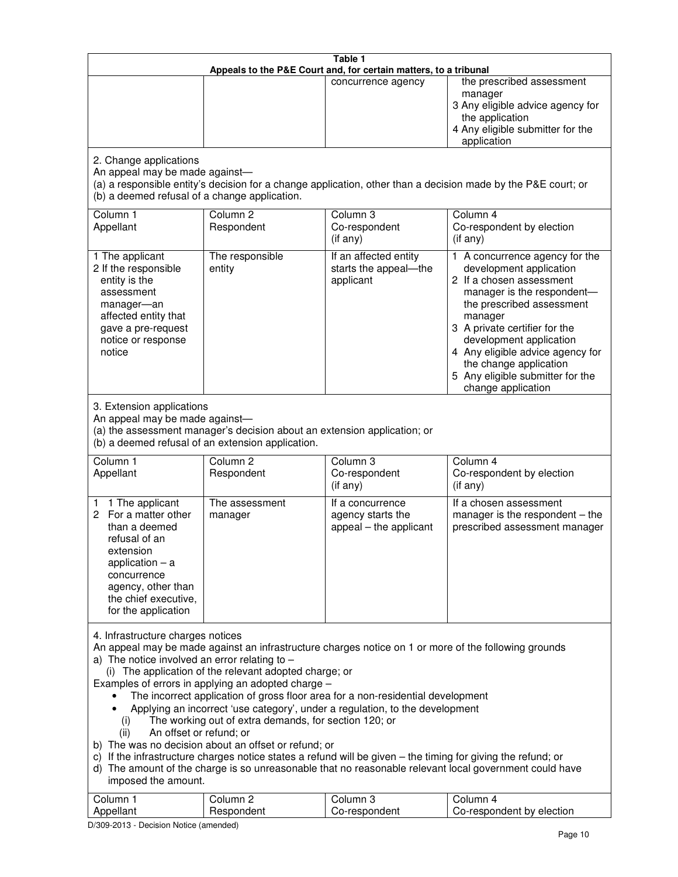| Table 1<br>Appeals to the P&E Court and, for certain matters, to a tribunal                                                                                                                                                                                                                                                                                                                                                                                                                                                                                                                                                                                                                                                                                                                                                                                                                                                                                       |                                   |                                                                 |                                                                                                                                                                                                                                                                                                                                                 |  |
|-------------------------------------------------------------------------------------------------------------------------------------------------------------------------------------------------------------------------------------------------------------------------------------------------------------------------------------------------------------------------------------------------------------------------------------------------------------------------------------------------------------------------------------------------------------------------------------------------------------------------------------------------------------------------------------------------------------------------------------------------------------------------------------------------------------------------------------------------------------------------------------------------------------------------------------------------------------------|-----------------------------------|-----------------------------------------------------------------|-------------------------------------------------------------------------------------------------------------------------------------------------------------------------------------------------------------------------------------------------------------------------------------------------------------------------------------------------|--|
|                                                                                                                                                                                                                                                                                                                                                                                                                                                                                                                                                                                                                                                                                                                                                                                                                                                                                                                                                                   |                                   | concurrence agency                                              | the prescribed assessment<br>manager<br>3 Any eligible advice agency for<br>the application<br>4 Any eligible submitter for the<br>application                                                                                                                                                                                                  |  |
| 2. Change applications<br>An appeal may be made against-<br>(a) a responsible entity's decision for a change application, other than a decision made by the P&E court; or<br>(b) a deemed refusal of a change application.                                                                                                                                                                                                                                                                                                                                                                                                                                                                                                                                                                                                                                                                                                                                        |                                   |                                                                 |                                                                                                                                                                                                                                                                                                                                                 |  |
| Column 1<br>Appellant                                                                                                                                                                                                                                                                                                                                                                                                                                                                                                                                                                                                                                                                                                                                                                                                                                                                                                                                             | Column <sub>2</sub><br>Respondent | Column <sub>3</sub><br>Co-respondent<br>(if any)                | Column 4<br>Co-respondent by election<br>(if any)                                                                                                                                                                                                                                                                                               |  |
| 1 The applicant<br>2 If the responsible<br>entity is the<br>assessment<br>manager-an<br>affected entity that<br>gave a pre-request<br>notice or response<br>notice                                                                                                                                                                                                                                                                                                                                                                                                                                                                                                                                                                                                                                                                                                                                                                                                | The responsible<br>entity         | If an affected entity<br>starts the appeal-the<br>applicant     | 1 A concurrence agency for the<br>development application<br>2 If a chosen assessment<br>manager is the respondent-<br>the prescribed assessment<br>manager<br>3 A private certifier for the<br>development application<br>4 Any eligible advice agency for<br>the change application<br>5 Any eligible submitter for the<br>change application |  |
| 3. Extension applications<br>An appeal may be made against-<br>(a) the assessment manager's decision about an extension application; or<br>(b) a deemed refusal of an extension application.                                                                                                                                                                                                                                                                                                                                                                                                                                                                                                                                                                                                                                                                                                                                                                      |                                   |                                                                 |                                                                                                                                                                                                                                                                                                                                                 |  |
| Column 1<br>Appellant                                                                                                                                                                                                                                                                                                                                                                                                                                                                                                                                                                                                                                                                                                                                                                                                                                                                                                                                             | Column <sub>2</sub><br>Respondent | Column 3<br>Co-respondent<br>(if any)                           | Column 4<br>Co-respondent by election<br>(if any)                                                                                                                                                                                                                                                                                               |  |
| 1 The applicant<br>1.<br>For a matter other<br>2<br>than a deemed<br>refusal of an<br>extension<br>application $-$ a<br>concurrence<br>agency, other than<br>the chief executive,<br>for the application                                                                                                                                                                                                                                                                                                                                                                                                                                                                                                                                                                                                                                                                                                                                                          | The assessment<br>manager         | If a concurrence<br>agency starts the<br>appeal - the applicant | If a chosen assessment<br>manager is the respondent - the<br>prescribed assessment manager                                                                                                                                                                                                                                                      |  |
| 4. Infrastructure charges notices<br>An appeal may be made against an infrastructure charges notice on 1 or more of the following grounds<br>a) The notice involved an error relating to $-$<br>(i) The application of the relevant adopted charge; or<br>Examples of errors in applying an adopted charge -<br>The incorrect application of gross floor area for a non-residential development<br>Applying an incorrect 'use category', under a regulation, to the development<br>The working out of extra demands, for section 120; or<br>(i)<br>An offset or refund; or<br>(ii)<br>b) The was no decision about an offset or refund; or<br>c) If the infrastructure charges notice states a refund will be given - the timing for giving the refund; or<br>d) The amount of the charge is so unreasonable that no reasonable relevant local government could have<br>imposed the amount.<br>Column 1<br>Column <sub>2</sub><br>Column <sub>3</sub><br>Column 4 |                                   |                                                                 |                                                                                                                                                                                                                                                                                                                                                 |  |
| Appellant                                                                                                                                                                                                                                                                                                                                                                                                                                                                                                                                                                                                                                                                                                                                                                                                                                                                                                                                                         | Respondent                        | Co-respondent                                                   | Co-respondent by election                                                                                                                                                                                                                                                                                                                       |  |

D/309-2013 - Decision Notice (amended)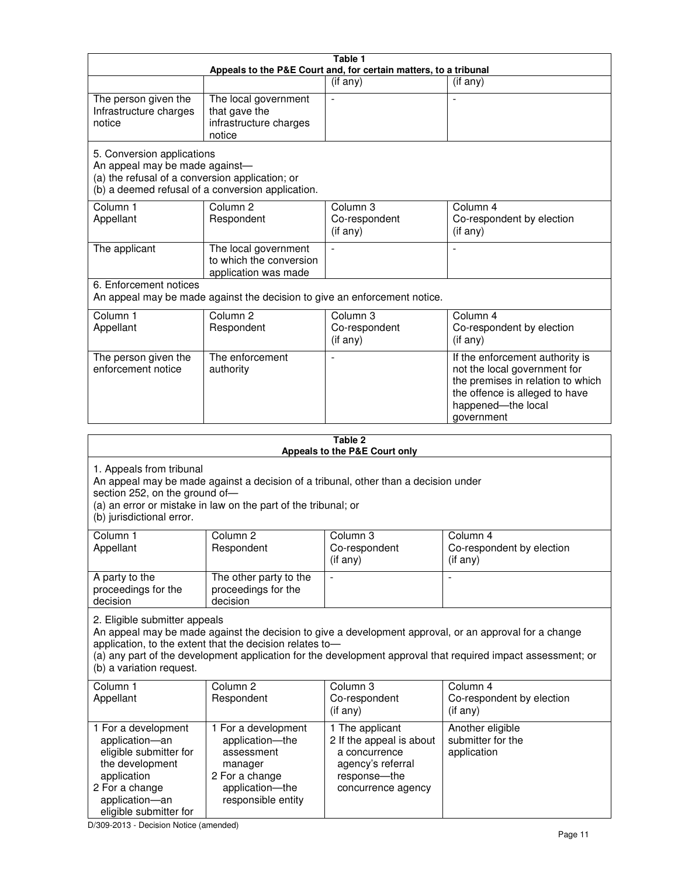| Table 1<br>Appeals to the P&E Court and, for certain matters, to a tribunal                                                                                                                                                                                                                                                                     |                                                                                                                            |                                                                                                                         |                                                                                                                                                                            |  |
|-------------------------------------------------------------------------------------------------------------------------------------------------------------------------------------------------------------------------------------------------------------------------------------------------------------------------------------------------|----------------------------------------------------------------------------------------------------------------------------|-------------------------------------------------------------------------------------------------------------------------|----------------------------------------------------------------------------------------------------------------------------------------------------------------------------|--|
|                                                                                                                                                                                                                                                                                                                                                 |                                                                                                                            | (if any)                                                                                                                | (if any)                                                                                                                                                                   |  |
| The person given the<br>Infrastructure charges<br>notice                                                                                                                                                                                                                                                                                        | The local government<br>that gave the<br>infrastructure charges<br>notice                                                  |                                                                                                                         |                                                                                                                                                                            |  |
| 5. Conversion applications<br>An appeal may be made against-<br>(a) the refusal of a conversion application; or<br>(b) a deemed refusal of a conversion application.                                                                                                                                                                            |                                                                                                                            |                                                                                                                         |                                                                                                                                                                            |  |
| Column 1<br>Appellant                                                                                                                                                                                                                                                                                                                           | Column <sub>2</sub><br>Respondent                                                                                          | Column 3<br>Co-respondent<br>(if any)                                                                                   | Column 4<br>Co-respondent by election<br>(if any)                                                                                                                          |  |
| The applicant                                                                                                                                                                                                                                                                                                                                   | The local government<br>to which the conversion<br>application was made                                                    |                                                                                                                         |                                                                                                                                                                            |  |
| 6. Enforcement notices                                                                                                                                                                                                                                                                                                                          | An appeal may be made against the decision to give an enforcement notice.                                                  |                                                                                                                         |                                                                                                                                                                            |  |
| Column 1<br>Appellant                                                                                                                                                                                                                                                                                                                           | Column <sub>2</sub><br>Respondent                                                                                          | Column <sub>3</sub><br>Co-respondent<br>(if any)                                                                        | Column 4<br>Co-respondent by election<br>(if any)                                                                                                                          |  |
| The person given the<br>enforcement notice                                                                                                                                                                                                                                                                                                      | The enforcement<br>authority                                                                                               |                                                                                                                         | If the enforcement authority is<br>not the local government for<br>the premises in relation to which<br>the offence is alleged to have<br>happened-the local<br>government |  |
|                                                                                                                                                                                                                                                                                                                                                 |                                                                                                                            | Table 2<br>Appeals to the P&E Court only                                                                                |                                                                                                                                                                            |  |
| 1. Appeals from tribunal<br>An appeal may be made against a decision of a tribunal, other than a decision under<br>section 252, on the ground of-<br>(a) an error or mistake in law on the part of the tribunal; or<br>(b) jurisdictional error.                                                                                                |                                                                                                                            |                                                                                                                         |                                                                                                                                                                            |  |
| Column 1<br>Appellant                                                                                                                                                                                                                                                                                                                           | Column 2<br>Respondent                                                                                                     | Column 3<br>Co-respondent<br>(if any)                                                                                   | Column 4<br>Co-respondent by election<br>(i f any)                                                                                                                         |  |
| A party to the<br>proceedings for the<br>decision                                                                                                                                                                                                                                                                                               | The other party to the<br>proceedings for the<br>decision                                                                  |                                                                                                                         |                                                                                                                                                                            |  |
| 2. Eligible submitter appeals<br>An appeal may be made against the decision to give a development approval, or an approval for a change<br>application, to the extent that the decision relates to-<br>(a) any part of the development application for the development approval that required impact assessment; or<br>(b) a variation request. |                                                                                                                            |                                                                                                                         |                                                                                                                                                                            |  |
| Column 1<br>Appellant                                                                                                                                                                                                                                                                                                                           | Column <sub>2</sub><br>Respondent                                                                                          | Column 3<br>Co-respondent<br>(if any)                                                                                   | Column 4<br>Co-respondent by election<br>(if any)                                                                                                                          |  |
| 1 For a development<br>application-an<br>eligible submitter for<br>the development<br>application<br>2 For a change<br>application-an                                                                                                                                                                                                           | 1 For a development<br>application-the<br>assessment<br>manager<br>2 For a change<br>application-the<br>responsible entity | 1 The applicant<br>2 If the appeal is about<br>a concurrence<br>agency's referral<br>response-the<br>concurrence agency | Another eligible<br>submitter for the<br>application                                                                                                                       |  |

D/309-2013 - Decision Notice (amended)

eligible submitter for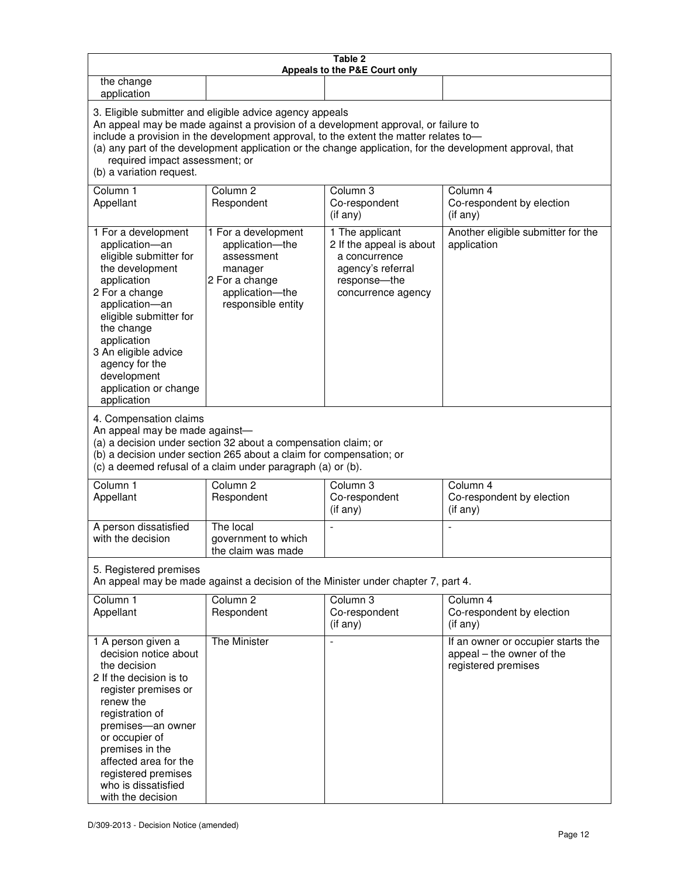| Table 2<br>Appeals to the P&E Court only                                                                                                                                                                                                                                                                                                                                                                           |                                                                                                                            |                                                                                                                         |                                                                                        |  |
|--------------------------------------------------------------------------------------------------------------------------------------------------------------------------------------------------------------------------------------------------------------------------------------------------------------------------------------------------------------------------------------------------------------------|----------------------------------------------------------------------------------------------------------------------------|-------------------------------------------------------------------------------------------------------------------------|----------------------------------------------------------------------------------------|--|
| the change<br>application                                                                                                                                                                                                                                                                                                                                                                                          |                                                                                                                            |                                                                                                                         |                                                                                        |  |
| 3. Eligible submitter and eligible advice agency appeals<br>An appeal may be made against a provision of a development approval, or failure to<br>include a provision in the development approval, to the extent the matter relates to-<br>(a) any part of the development application or the change application, for the development approval, that<br>required impact assessment; or<br>(b) a variation request. |                                                                                                                            |                                                                                                                         |                                                                                        |  |
| Column 1<br>Appellant                                                                                                                                                                                                                                                                                                                                                                                              | Column <sub>2</sub><br>Respondent                                                                                          | Column 3<br>Co-respondent<br>(if any)                                                                                   | Column 4<br>Co-respondent by election<br>(if any)                                      |  |
| 1 For a development<br>application-an<br>eligible submitter for<br>the development<br>application<br>2 For a change<br>application-an<br>eligible submitter for<br>the change<br>application<br>3 An eligible advice<br>agency for the<br>development<br>application or change<br>application                                                                                                                      | 1 For a development<br>application-the<br>assessment<br>manager<br>2 For a change<br>application-the<br>responsible entity | 1 The applicant<br>2 If the appeal is about<br>a concurrence<br>agency's referral<br>response-the<br>concurrence agency | Another eligible submitter for the<br>application                                      |  |
| 4. Compensation claims<br>An appeal may be made against-<br>(a) a decision under section 32 about a compensation claim; or<br>(b) a decision under section 265 about a claim for compensation; or<br>(c) a deemed refusal of a claim under paragraph (a) or (b).                                                                                                                                                   |                                                                                                                            |                                                                                                                         |                                                                                        |  |
| Column <sub>1</sub><br>Appellant                                                                                                                                                                                                                                                                                                                                                                                   | Column <sub>2</sub><br>Respondent                                                                                          | Column 3<br>Co-respondent<br>(if any)                                                                                   | Column 4<br>Co-respondent by election<br>(if any)                                      |  |
| A person dissatisfied<br>with the decision                                                                                                                                                                                                                                                                                                                                                                         | The local<br>government to which<br>the claim was made                                                                     |                                                                                                                         |                                                                                        |  |
| 5. Registered premises<br>An appeal may be made against a decision of the Minister under chapter 7, part 4.                                                                                                                                                                                                                                                                                                        |                                                                                                                            |                                                                                                                         |                                                                                        |  |
| Column 1<br>Appellant                                                                                                                                                                                                                                                                                                                                                                                              | Column <sub>2</sub><br>Respondent                                                                                          | Column <sub>3</sub><br>Co-respondent<br>(if any)                                                                        | Column 4<br>Co-respondent by election<br>(i f any)                                     |  |
| 1 A person given a<br>decision notice about<br>the decision<br>2 If the decision is to<br>register premises or<br>renew the<br>registration of<br>premises-an owner<br>or occupier of<br>premises in the<br>affected area for the<br>registered premises<br>who is dissatisfied<br>with the decision                                                                                                               | The Minister                                                                                                               | L,                                                                                                                      | If an owner or occupier starts the<br>appeal – the owner of the<br>registered premises |  |